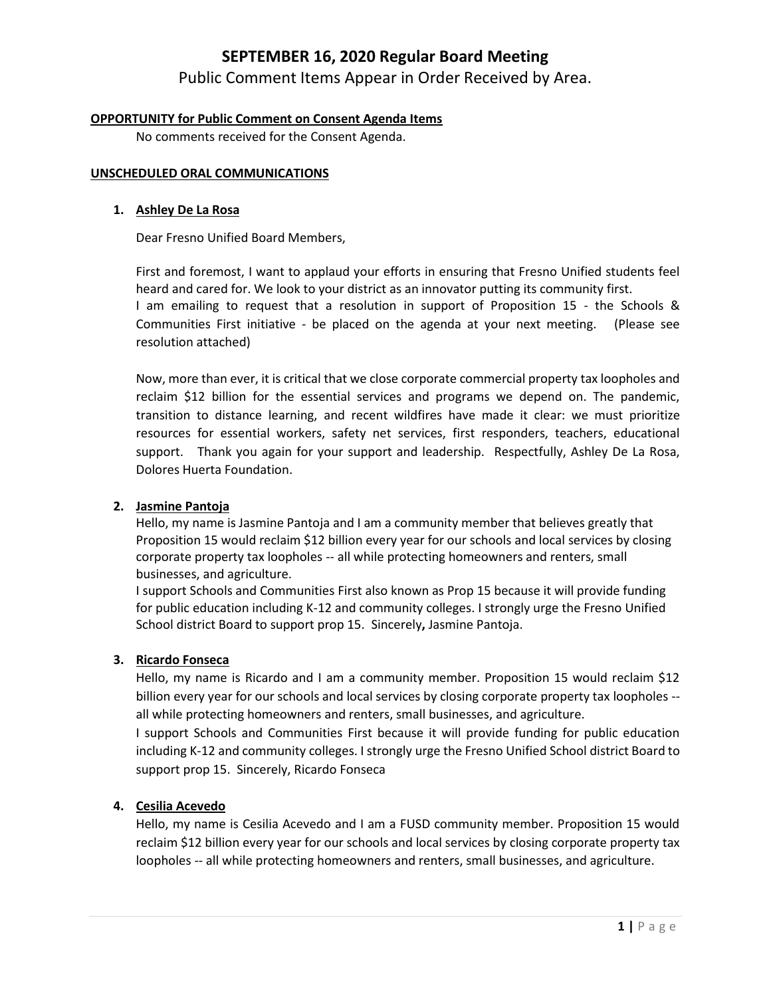## **SEPTEMBER 16, 2020 Regular Board Meeting**

Public Comment Items Appear in Order Received by Area.

### **OPPORTUNITY for Public Comment on Consent Agenda Items**

No comments received for the Consent Agenda.

### **UNSCHEDULED ORAL COMMUNICATIONS**

### **1. Ashley De La Rosa**

Dear Fresno Unified Board Members,

First and foremost, I want to applaud your efforts in ensuring that Fresno Unified students feel heard and cared for. We look to your district as an innovator putting its community first. I am emailing to request that a resolution in support of Proposition 15 - the Schools & Communities First initiative - be placed on the agenda at your next meeting. (Please see resolution attached)

Now, more than ever, it is critical that we close corporate commercial property tax loopholes and reclaim \$12 billion for the essential services and programs we depend on. The pandemic, transition to distance learning, and recent wildfires have made it clear: we must prioritize resources for essential workers, safety net services, first responders, teachers, educational support. Thank you again for your support and leadership. Respectfully, Ashley De La Rosa, Dolores Huerta Foundation.

### **2. Jasmine Pantoja**

Hello, my name is Jasmine Pantoja and I am a community member that believes greatly that Proposition 15 would reclaim \$12 billion every year for our schools and local services by closing corporate property tax loopholes -- all while protecting homeowners and renters, small businesses, and agriculture.

I support Schools and Communities First also known as Prop 15 because it will provide funding for public education including K-12 and community colleges. I strongly urge the Fresno Unified School district Board to support prop 15. Sincerely**,** Jasmine Pantoja.

### **3. Ricardo Fonseca**

Hello, my name is Ricardo and I am a community member. Proposition 15 would reclaim \$12 billion every year for our schools and local services by closing corporate property tax loopholes - all while protecting homeowners and renters, small businesses, and agriculture.

I support Schools and Communities First because it will provide funding for public education including K-12 and community colleges. I strongly urge the Fresno Unified School district Board to support prop 15. Sincerely, Ricardo Fonseca

### **4. Cesilia Acevedo**

Hello, my name is Cesilia Acevedo and I am a FUSD community member. Proposition 15 would reclaim \$12 billion every year for our schools and local services by closing corporate property tax loopholes -- all while protecting homeowners and renters, small businesses, and agriculture.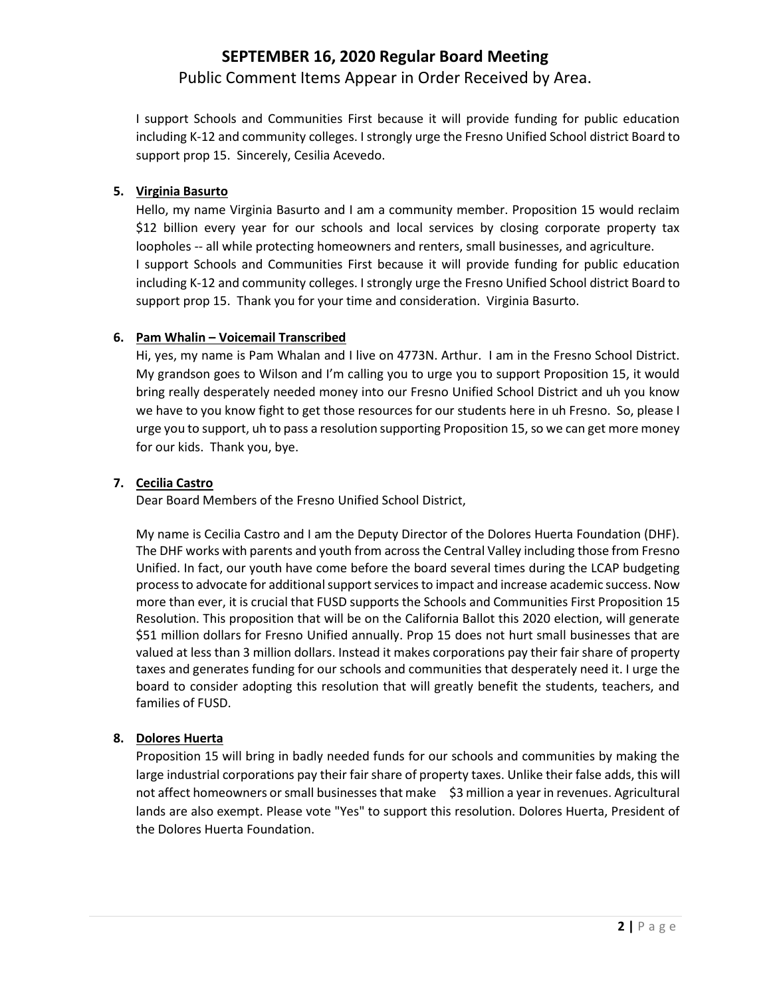# **SEPTEMBER 16, 2020 Regular Board Meeting** Public Comment Items Appear in Order Received by Area.

I support Schools and Communities First because it will provide funding for public education including K-12 and community colleges. I strongly urge the Fresno Unified School district Board to support prop 15. Sincerely, Cesilia Acevedo.

### **5. Virginia Basurto**

Hello, my name Virginia Basurto and I am a community member. Proposition 15 would reclaim \$12 billion every year for our schools and local services by closing corporate property tax loopholes -- all while protecting homeowners and renters, small businesses, and agriculture. I support Schools and Communities First because it will provide funding for public education including K-12 and community colleges. I strongly urge the Fresno Unified School district Board to support prop 15. Thank you for your time and consideration. Virginia Basurto.

### **6. Pam Whalin – Voicemail Transcribed**

Hi, yes, my name is Pam Whalan and I live on 4773N. Arthur. I am in the Fresno School District. My grandson goes to Wilson and I'm calling you to urge you to support Proposition 15, it would bring really desperately needed money into our Fresno Unified School District and uh you know we have to you know fight to get those resources for our students here in uh Fresno. So, please I urge you to support, uh to pass a resolution supporting Proposition 15, so we can get more money for our kids. Thank you, bye.

### **7. Cecilia Castro**

Dear Board Members of the Fresno Unified School District,

My name is Cecilia Castro and I am the Deputy Director of the Dolores Huerta Foundation (DHF). The DHF works with parents and youth from across the Central Valley including those from Fresno Unified. In fact, our youth have come before the board several times during the LCAP budgeting process to advocate for additional support services to impact and increase academic success. Now more than ever, it is crucial that FUSD supports the Schools and Communities First Proposition 15 Resolution. This proposition that will be on the California Ballot this 2020 election, will generate \$51 million dollars for Fresno Unified annually. Prop 15 does not hurt small businesses that are valued at less than 3 million dollars. Instead it makes corporations pay their fair share of property taxes and generates funding for our schools and communities that desperately need it. I urge the board to consider adopting this resolution that will greatly benefit the students, teachers, and families of FUSD.

### **8. Dolores Huerta**

Proposition 15 will bring in badly needed funds for our schools and communities by making the large industrial corporations pay their fair share of property taxes. Unlike their false adds, this will not affect homeowners or small businesses that make \$3 million a year in revenues. Agricultural lands are also exempt. Please vote "Yes" to support this resolution. Dolores Huerta, President of the Dolores Huerta Foundation.